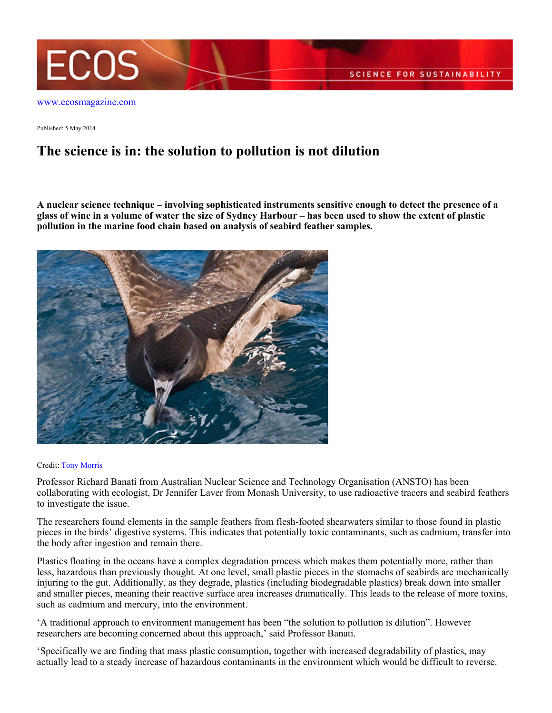

Published: 5 May 2014

## **The science is in: the solution to pollution is not dilution**

**A nuclear science technique – involving sophisticated instruments sensitive enough to detect the presence of a glass of wine in a volume of water the size of Sydney Harbour – has been used to show the extent of plastic pollution in the marine food chain based on analysis of seabird feather samples.**



## Credit: [Tony Morris](https://www.flickr.com/photos/tonymorris/)

Professor Richard Banati from Australian Nuclear Science and Technology Organisation (ANSTO) has been collaborating with ecologist, Dr Jennifer Laver from Monash University, to use radioactive tracers and seabird feathers to investigate the issue.

The researchers found elements in the sample feathers from flesh-footed shearwaters similar to those found in plastic pieces in the birds' digestive systems. This indicates that potentially toxic contaminants, such as cadmium, transfer into the body after ingestion and remain there.

Plastics floating in the oceans have a complex degradation process which makes them potentially more, rather than less, hazardous than previously thought. At one level, small plastic pieces in the stomachs of seabirds are mechanically injuring to the gut. Additionally, as they degrade, plastics (including biodegradable plastics) break down into smaller and smaller pieces, meaning their reactive surface area increases dramatically. This leads to the release of more toxins, such as cadmium and mercury, into the environment.

'A traditional approach to environment management has been "the solution to pollution is dilution". However researchers are becoming concerned about this approach,' said Professor Banati.

'Specifically we are finding that mass plastic consumption, together with increased degradability of plastics, may actually lead to a steady increase of hazardous contaminants in the environment which would be difficult to reverse.